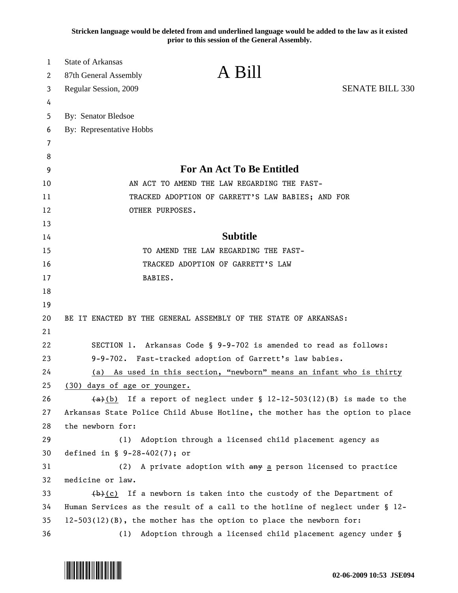**Stricken language would be deleted from and underlined language would be added to the law as it existed prior to this session of the General Assembly.**

| 1      | <b>State of Arkansas</b><br>A Bill                                                     |  |
|--------|----------------------------------------------------------------------------------------|--|
| 2      | 87th General Assembly                                                                  |  |
| 3      | <b>SENATE BILL 330</b><br>Regular Session, 2009                                        |  |
| 4      |                                                                                        |  |
| 5      | By: Senator Bledsoe                                                                    |  |
| 6      | By: Representative Hobbs                                                               |  |
| 7      |                                                                                        |  |
| 8<br>9 | <b>For An Act To Be Entitled</b>                                                       |  |
| 10     | AN ACT TO AMEND THE LAW REGARDING THE FAST-                                            |  |
| 11     | TRACKED ADOPTION OF GARRETT'S LAW BABIES; AND FOR                                      |  |
| 12     | OTHER PURPOSES.                                                                        |  |
| 13     |                                                                                        |  |
| 14     | <b>Subtitle</b>                                                                        |  |
| 15     | TO AMEND THE LAW REGARDING THE FAST-                                                   |  |
| 16     | TRACKED ADOPTION OF GARRETT'S LAW                                                      |  |
| 17     | BABIES.                                                                                |  |
| 18     |                                                                                        |  |
| 19     |                                                                                        |  |
| 20     | BE IT ENACTED BY THE GENERAL ASSEMBLY OF THE STATE OF ARKANSAS:                        |  |
| 21     |                                                                                        |  |
| 22     | SECTION 1. Arkansas Code § 9-9-702 is amended to read as follows:                      |  |
| 23     | 9-9-702. Fast-tracked adoption of Garrett's law babies.                                |  |
| 24     | As used in this section, "newborn" means an infant who is thirty<br>(a)                |  |
| 25     | (30) days of age or younger.                                                           |  |
| 26     | $\overline{(a)(b)}$ If a report of neglect under § 12-12-503(12)(B) is made to the     |  |
| 27     | Arkansas State Police Child Abuse Hotline, the mother has the option to place          |  |
| 28     | the newborn for:                                                                       |  |
| 29     | (1)<br>Adoption through a licensed child placement agency as                           |  |
| 30     | defined in $\S$ 9-28-402(7); or                                                        |  |
| 31     | A private adoption with any a person licensed to practice<br>(2)                       |  |
| 32     | medicine or law.                                                                       |  |
| 33     | $\left(\frac{b}{c}\right)$ If a newborn is taken into the custody of the Department of |  |
| 34     | Human Services as the result of a call to the hotline of neglect under § 12-           |  |
| 35     | $12-503(12)(B)$ , the mother has the option to place the newborn for:                  |  |
| 36     | (1) Adoption through a licensed child placement agency under §                         |  |

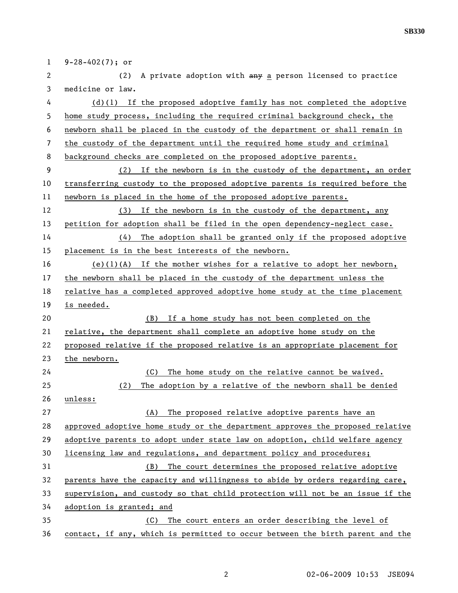1 9-28-402(7); or 2 (2) A private adoption with  $\frac{1}{2}$  a person licensed to practice 3 medicine or law. 4 (d)(1) If the proposed adoptive family has not completed the adoptive 5 home study process, including the required criminal background check, the 6 newborn shall be placed in the custody of the department or shall remain in 7 the custody of the department until the required home study and criminal 8 background checks are completed on the proposed adoptive parents. 9 (2) If the newborn is in the custody of the department, an order 10 transferring custody to the proposed adoptive parents is required before the 11 newborn is placed in the home of the proposed adoptive parents. 12 (3) If the newborn is in the custody of the department, any 13 petition for adoption shall be filed in the open dependency-neglect case. 14 (4) The adoption shall be granted only if the proposed adoptive 15 placement is in the best interests of the newborn. 16 (e)(1)(A) If the mother wishes for a relative to adopt her newborn, 17 the newborn shall be placed in the custody of the department unless the 18 relative has a completed approved adoptive home study at the time placement 19 is needed. 20 (B) If a home study has not been completed on the 21 relative, the department shall complete an adoptive home study on the 22 proposed relative if the proposed relative is an appropriate placement for 23 the newborn. 24 (C) The home study on the relative cannot be waived. 25 (2) The adoption by a relative of the newborn shall be denied 26 unless: 27 (A) The proposed relative adoptive parents have an 28 approved adoptive home study or the department approves the proposed relative 29 adoptive parents to adopt under state law on adoption, child welfare agency 30 licensing law and regulations, and department policy and procedures; 31 (B) The court determines the proposed relative adoptive 32 parents have the capacity and willingness to abide by orders regarding care, 33 supervision, and custody so that child protection will not be an issue if the 34 adoption is granted; and 35 (C) The court enters an order describing the level of 36 contact, if any, which is permitted to occur between the birth parent and the

**SB330**